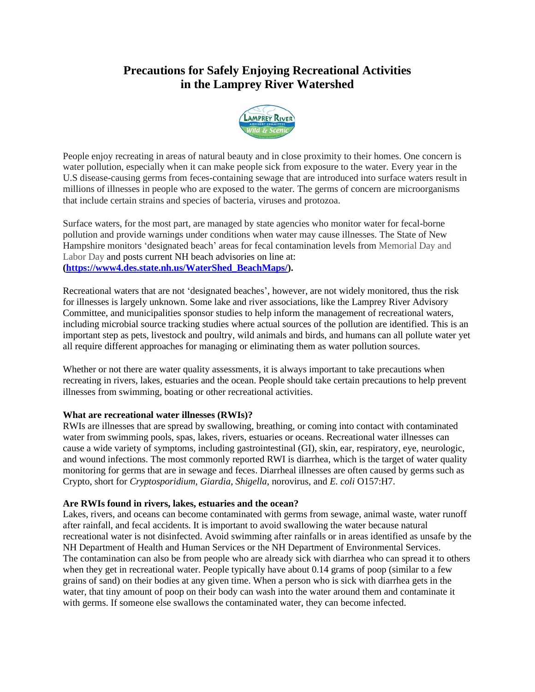# **Precautions for Safely Enjoying Recreational Activities in the Lamprey River Watershed**



People enjoy recreating in areas of natural beauty and in close proximity to their homes. One concern is water pollution, especially when it can make people sick from exposure to the water. Every year in the U.S disease-causing germs from feces-containing sewage that are introduced into surface waters result in millions of illnesses in people who are exposed to the water. The germs of concern are microorganisms that include certain strains and species of bacteria, viruses and protozoa.

Surface waters, for the most part, are managed by state agencies who monitor water for fecal-borne pollution and provide warnings under conditions when water may cause illnesses. The State of New Hampshire monitors 'designated beach' areas for fecal contamination levels from Memorial Day and Labor Day and posts current NH beach advisories on line at: **[\(https://www4.des.state.nh.us/WaterShed\\_BeachMaps/\)](https://www4.des.state.nh.us/WaterShed_BeachMaps/).** 

Recreational waters that are not 'designated beaches', however, are not widely monitored, thus the risk for illnesses is largely unknown. Some lake and river associations, like the Lamprey River Advisory Committee, and municipalities sponsor studies to help inform the management of recreational waters, including microbial source tracking studies where actual sources of the pollution are identified. This is an important step as pets, livestock and poultry, wild animals and birds, and humans can all pollute water yet all require different approaches for managing or eliminating them as water pollution sources.

Whether or not there are water quality assessments, it is always important to take precautions when recreating in rivers, lakes, estuaries and the ocean. People should take certain precautions to help prevent illnesses from swimming, boating or other recreational activities.

## **What are recreational water illnesses (RWIs)?**

RWIs are illnesses that are spread by swallowing, breathing, or coming into contact with contaminated water from swimming pools, spas, lakes, rivers, estuaries or oceans. Recreational water illnesses can cause a wide variety of symptoms, including gastrointestinal (GI), skin, ear, respiratory, eye, neurologic, and wound infections. The most commonly reported RWI is diarrhea, which is the target of water quality monitoring for germs that are in sewage and feces. Diarrheal illnesses are often caused by germs such as Crypto, short for *Cryptosporidium*, *Giardia*, *Shigella*, norovirus, and *E. coli* O157:H7.

## **Are RWIs found in rivers, lakes, estuaries and the ocean?**

Lakes, rivers, and oceans can become contaminated with germs from sewage, animal waste, water runoff after rainfall, and fecal accidents. It is important to avoid swallowing the water because natural recreational water is not disinfected. Avoid swimming after rainfalls or in areas identified as unsafe by the NH Department of Health and Human Services or the NH Department of Environmental Services. The contamination can also be from people who are already sick with diarrhea who can spread it to others when they get in recreational water. People typically have about 0.14 grams of poop (similar to a few grains of sand) on their bodies at any given time. When a person who is sick with diarrhea gets in the water, that tiny amount of poop on their body can wash into the water around them and contaminate it with germs. If someone else swallows the contaminated water, they can become infected.